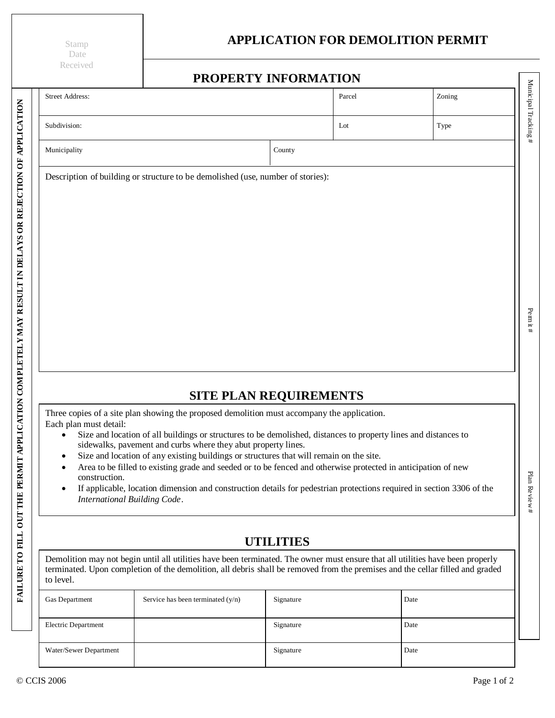Stamp Date Received

## **Date APPLICATION FOR DEMOLITION PERMIT**

|                                     |                                                                                                                                                                                                                                                                                                                                                                                                                                                                                             | PROPERTY INFORMATION          |      |        |
|-------------------------------------|---------------------------------------------------------------------------------------------------------------------------------------------------------------------------------------------------------------------------------------------------------------------------------------------------------------------------------------------------------------------------------------------------------------------------------------------------------------------------------------------|-------------------------------|------|--------|
| <b>Street Address:</b>              |                                                                                                                                                                                                                                                                                                                                                                                                                                                                                             | Parcel                        |      | Zoning |
| Subdivision:                        |                                                                                                                                                                                                                                                                                                                                                                                                                                                                                             | Lot                           |      | Type   |
| Municipality                        |                                                                                                                                                                                                                                                                                                                                                                                                                                                                                             | County                        |      |        |
|                                     | Description of building or structure to be demolished (use, number of stories):                                                                                                                                                                                                                                                                                                                                                                                                             |                               |      |        |
| Each plan must detail:<br>$\bullet$ | Three copies of a site plan showing the proposed demolition must accompany the application.<br>Size and location of all buildings or structures to be demolished, distances to property lines and distances to<br>sidewalks, pavement and curbs where they abut property lines.<br>Size and location of any existing buildings or structures that will remain on the site.<br>Area to be filled to existing grade and seeded or to be fenced and otherwise protected in anticipation of new | <b>SITE PLAN REQUIREMENTS</b> |      |        |
| construction.<br>$\bullet$          | If applicable, location dimension and construction details for pedestrian protections required in section 3306 of the<br>International Building Code.                                                                                                                                                                                                                                                                                                                                       |                               |      |        |
|                                     |                                                                                                                                                                                                                                                                                                                                                                                                                                                                                             | <b>UTILITIES</b>              |      |        |
| to level.                           | Demolition may not begin until all utilities have been terminated. The owner must ensure that all utilities have been properly<br>terminated. Upon completion of the demolition, all debris shall be removed from the premises and the cellar filled and graded                                                                                                                                                                                                                             |                               |      |        |
| Gas Department                      | Service has been terminated $(y/n)$                                                                                                                                                                                                                                                                                                                                                                                                                                                         | Signature                     | Date |        |
|                                     |                                                                                                                                                                                                                                                                                                                                                                                                                                                                                             | Signature                     | Date |        |
| Electric Department                 |                                                                                                                                                                                                                                                                                                                                                                                                                                                                                             |                               |      |        |